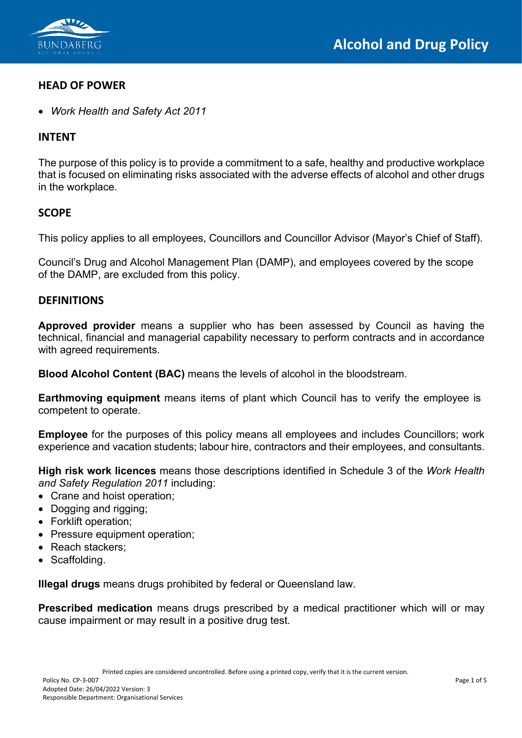

## **HEAD OF POWER**

• *Work Health and Safety Act 2011*

## **INTENT**

The purpose of this policy is to provide a commitment to a safe, healthy and productive workplace that is focused on eliminating risks associated with the adverse effects of alcohol and other drugs in the workplace.

# **SCOPE**

This policy applies to all employees, Councillors and Councillor Advisor (Mayor's Chief of Staff).

Council's Drug and Alcohol Management Plan (DAMP), and employees covered by the scope of the DAMP, are excluded from this policy.

## **DEFINITIONS**

**Approved provider** means a supplier who has been assessed by Council as having the technical, financial and managerial capability necessary to perform contracts and in accordance with agreed requirements.

**Blood Alcohol Content (BAC)** means the levels of alcohol in the bloodstream.

**Earthmoving equipment** means items of plant which Council has to verify the employee is competent to operate.

**Employee** for the purposes of this policy means all employees and includes Councillors; work experience and vacation students; labour hire, contractors and their employees, and consultants.

**High risk work licences** means those descriptions identified in Schedule 3 of the *Work Health and Safety Regulation 2011* including:

- Crane and hoist operation;
- Dogging and rigging;
- Forklift operation;
- Pressure equipment operation:
- Reach stackers;
- Scaffolding.

**Illegal drugs** means drugs prohibited by federal or Queensland law.

**Prescribed medication** means drugs prescribed by a medical practitioner which will or may cause impairment or may result in a positive drug test.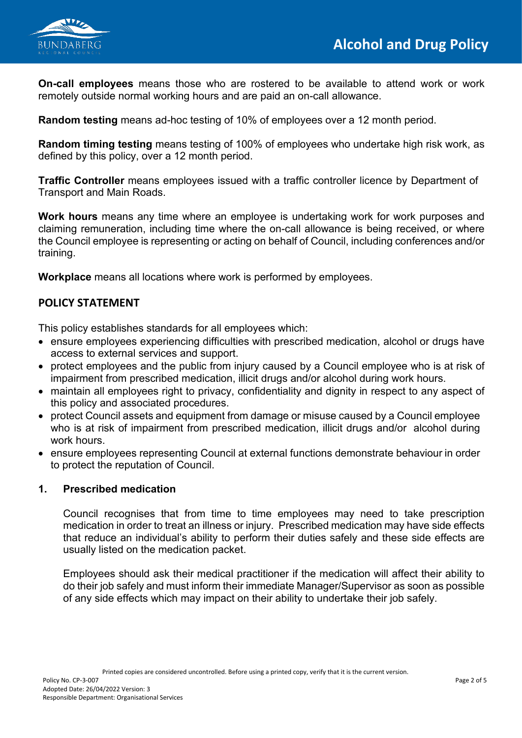

**On-call employees** means those who are rostered to be available to attend work or work remotely outside normal working hours and are paid an on-call allowance.

**Random testing** means ad-hoc testing of 10% of employees over a 12 month period.

**Random timing testing** means testing of 100% of employees who undertake high risk work, as defined by this policy, over a 12 month period.

**Traffic Controller** means employees issued with a traffic controller licence by Department of Transport and Main Roads.

**Work hours** means any time where an employee is undertaking work for work purposes and claiming remuneration, including time where the on-call allowance is being received, or where the Council employee is representing or acting on behalf of Council, including conferences and/or training.

**Workplace** means all locations where work is performed by employees.

# **POLICY STATEMENT**

This policy establishes standards for all employees which:

- ensure employees experiencing difficulties with prescribed medication, alcohol or drugs have access to external services and support.
- protect employees and the public from injury caused by a Council employee who is at risk of impairment from prescribed medication, illicit drugs and/or alcohol during work hours.
- maintain all employees right to privacy, confidentiality and dignity in respect to any aspect of this policy and associated procedures.
- protect Council assets and equipment from damage or misuse caused by a Council employee who is at risk of impairment from prescribed medication, illicit drugs and/or alcohol during work hours.
- ensure employees representing Council at external functions demonstrate behaviour in order to protect the reputation of Council.

#### **1. Prescribed medication**

Council recognises that from time to time employees may need to take prescription medication in order to treat an illness or injury. Prescribed medication may have side effects that reduce an individual's ability to perform their duties safely and these side effects are usually listed on the medication packet.

Employees should ask their medical practitioner if the medication will affect their ability to do their job safely and must inform their immediate Manager/Supervisor as soon as possible of any side effects which may impact on their ability to undertake their job safely.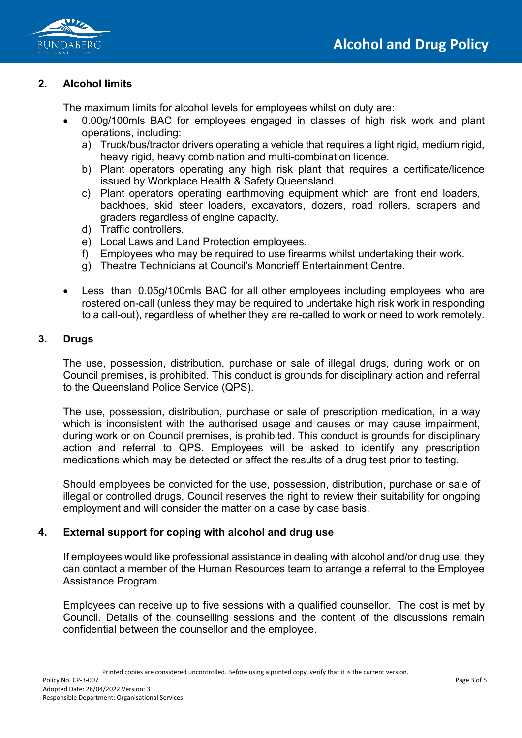



# **2. Alcohol limits**

The maximum limits for alcohol levels for employees whilst on duty are:

- 0.00g/100mls BAC for employees engaged in classes of high risk work and plant operations, including:
	- a) Truck/bus/tractor drivers operating a vehicle that requires a light rigid, medium rigid, heavy rigid, heavy combination and multi-combination licence.
	- b) Plant operators operating any high risk plant that requires a certificate/licence issued by Workplace Health & Safety Queensland.
	- c) Plant operators operating earthmoving equipment which are front end loaders, backhoes, skid steer loaders, excavators, dozers, road rollers, scrapers and graders regardless of engine capacity.
	- d) Traffic controllers.
	- e) Local Laws and Land Protection employees.
	- f) Employees who may be required to use firearms whilst undertaking their work.
	- g) Theatre Technicians at Council's Moncrieff Entertainment Centre.
- Less than 0.05g/100mls BAC for all other employees including employees who are rostered on-call (unless they may be required to undertake high risk work in responding to a call-out), regardless of whether they are re-called to work or need to work remotely.

### **3. Drugs**

The use, possession, distribution, purchase or sale of illegal drugs, during work or on Council premises, is prohibited. This conduct is grounds for disciplinary action and referral to the Queensland Police Service (QPS).

The use, possession, distribution, purchase or sale of prescription medication, in a way which is inconsistent with the authorised usage and causes or may cause impairment, during work or on Council premises, is prohibited. This conduct is grounds for disciplinary action and referral to QPS. Employees will be asked to identify any prescription medications which may be detected or affect the results of a drug test prior to testing.

Should employees be convicted for the use, possession, distribution, purchase or sale of illegal or controlled drugs, Council reserves the right to review their suitability for ongoing employment and will consider the matter on a case by case basis.

### **4. External support for coping with alcohol and drug use**

If employees would like professional assistance in dealing with alcohol and/or drug use, they can contact a member of the Human Resources team to arrange a referral to the Employee Assistance Program.

Employees can receive up to five sessions with a qualified counsellor. The cost is met by Council. Details of the counselling sessions and the content of the discussions remain confidential between the counsellor and the employee.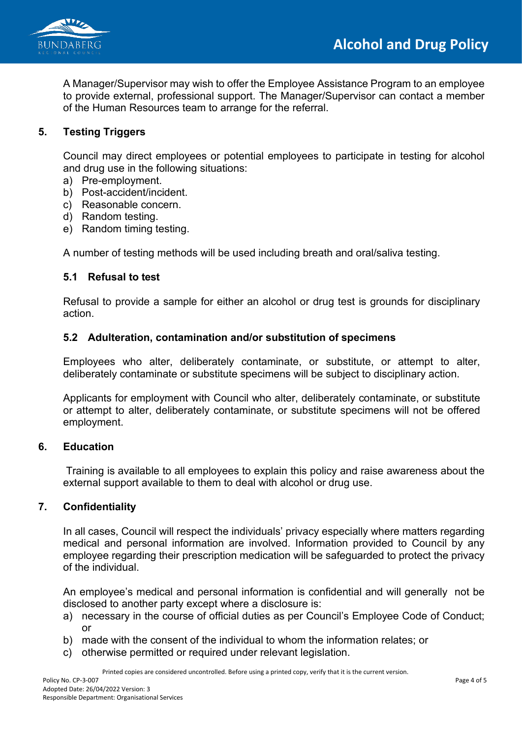



A Manager/Supervisor may wish to offer the Employee Assistance Program to an employee to provide external, professional support. The Manager/Supervisor can contact a member of the Human Resources team to arrange for the referral.

### **5. Testing Triggers**

Council may direct employees or potential employees to participate in testing for alcohol and drug use in the following situations:

- a) Pre-employment.
- b) Post-accident/incident.
- c) Reasonable concern.
- d) Random testing.
- e) Random timing testing.

A number of testing methods will be used including breath and oral/saliva testing.

#### **5.1 Refusal to test**

Refusal to provide a sample for either an alcohol or drug test is grounds for disciplinary action.

### **5.2 Adulteration, contamination and/or substitution of specimens**

Employees who alter, deliberately contaminate, or substitute, or attempt to alter, deliberately contaminate or substitute specimens will be subject to disciplinary action.

Applicants for employment with Council who alter, deliberately contaminate, or substitute or attempt to alter, deliberately contaminate, or substitute specimens will not be offered employment.

#### **6. Education**

Training is available to all employees to explain this policy and raise awareness about the external support available to them to deal with alcohol or drug use.

### **7. Confidentiality**

In all cases, Council will respect the individuals' privacy especially where matters regarding medical and personal information are involved. Information provided to Council by any employee regarding their prescription medication will be safeguarded to protect the privacy of the individual.

An employee's medical and personal information is confidential and will generally not be disclosed to another party except where a disclosure is:

- a) necessary in the course of official duties as per Council's Employee Code of Conduct; or
- b) made with the consent of the individual to whom the information relates; or
- c) otherwise permitted or required under relevant legislation.